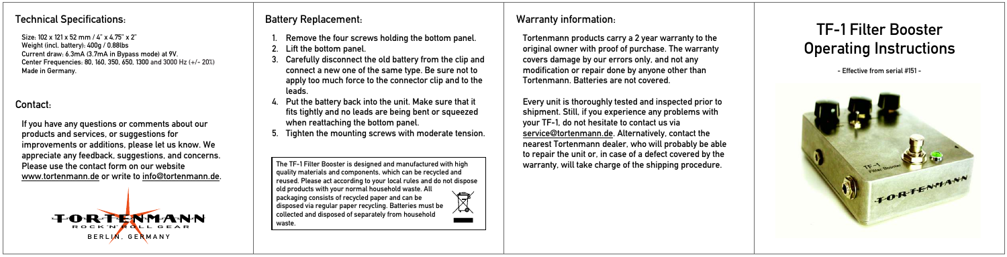## Technical Specifications: Technical Specifications: Technical Specifications: All provides the Battery Replacement:

Size: 102 x 121 x 52 mm / 4" x 4.75" x 2" Weight (incl. battery): 400g / 0.88lbs Current draw: 6.3mA (3.7mA in Bypass mode) at 9V. Center Frequencies: 80, 160, 350, 650, 1300 and 3000 Hz (+/- 20%)Made in Germany.

# Contact:

If you have any questions or comments about our products and services, or suggestions for improvements or additions, please let us know. We appreciate any feedback, suggestions, and concerns. Please use the contact form on our website www.tortenmann.de or write to info@tortenmann.de.



- Remove the four screws holding the bottom panel. 1.
- Lift the bottom panel. 2.
- Carefully disconnect the old battery from the clip and connect a new one of the same type. Be sure not to apply too much force to the connector clip and to the leads. 3.
- 4. Put the battery back into the unit. Make sure that it fits tightly and no leads are being bent or squeezed when reattaching the bottom panel.
- 5. Tighten the mounting screws with moderate tension.

The TF-1 Filter Booster is designed and manufactured with high quality materials and components, which can be recycled and reused. Please act according to your local rules and do not dispose old products with your normal household waste. All  $\overline{\mathbb{X}}$ packaging consists of recycled paper and can be disposed via regular paper recycling. Batteries must be collected and disposed of separately from household waste.

Tortenmann products carry a 2 year warranty to the original owner with proof of purchase. The warranty covers damage by our errors only, and not any modification or repair done by anyone other than Tortenmann. Batteries are not covered.

Every unit is thoroughly tested and inspected prior to shipment. Still, if you experience any problems with your TF-1, do not hesitate to contact us via <u>service@tortenmann.de</u>. Alternatively, contact the nearest Tortenmann dealer, who will probably be able to repair the unit or, in case of a defect covered by the warranty, will take charge of the shipping procedure.

TF-1 Filter Booster Operating Instructions

- Effective from serial #151 -